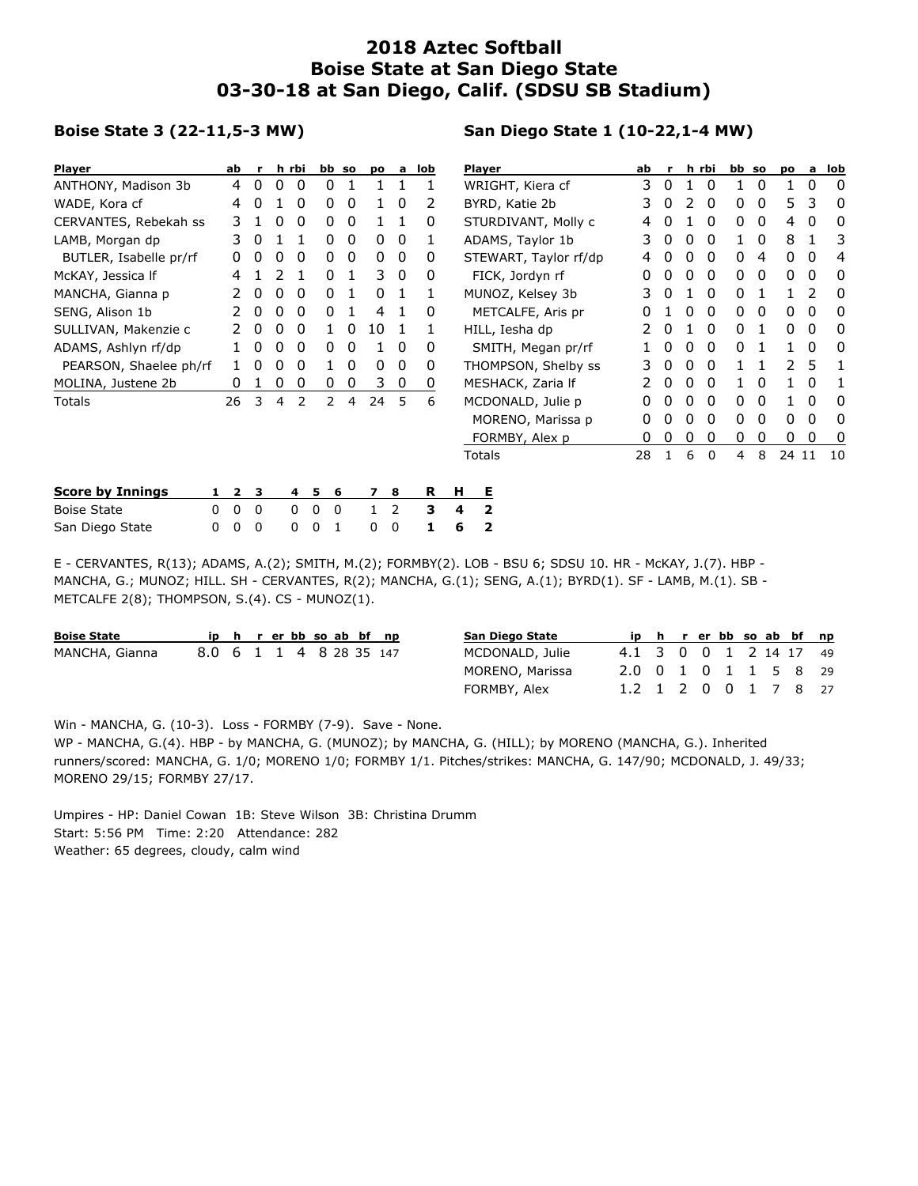## **2018 Aztec Softball Boise State at San Diego State 03-30-18 at San Diego, Calif. (SDSU SB Stadium)**

## **Boise State 3 (22-11,5-3 MW)**

## **San Diego State 1 (10-22,1-4 MW)**

| <b>Player</b>           |   | ab           | r.       |          | h rbi          |         | bb so |                | po a         | lob |                  | <b>Player</b>         |    |              |   | h rbi        | bb so |   | po    | a | lob      |
|-------------------------|---|--------------|----------|----------|----------------|---------|-------|----------------|--------------|-----|------------------|-----------------------|----|--------------|---|--------------|-------|---|-------|---|----------|
| ANTHONY, Madison 3b     |   | 4            | 0        | 0        | 0              | 0       |       |                |              |     | WRIGHT, Kiera cf |                       | 3  | 0            |   | 0            |       | 0 |       | 0 | 0        |
| WADE, Kora cf           |   | 4            | $\Omega$ |          | 0              | 0       | 0     |                | 0            | 2   |                  | BYRD, Katie 2b        |    |              |   | 0            | 0     | 0 | 5.    | 3 | 0        |
| CERVANTES, Rebekah ss   |   | 3            |          | 0        | 0              | 0       | 0     | 1              | $\mathbf{1}$ | 0   |                  | STURDIVANT, Molly c   | 4  | 0            |   | 0            | 0     | 0 | 4     | 0 | 0        |
| LAMB, Morgan dp         |   | 3            | $\Omega$ |          |                | 0       | 0     | 0              | $\mathbf{0}$ | 1   |                  | ADAMS, Taylor 1b      | 3  | 0            | 0 | $\mathbf{0}$ |       | 0 | 8     |   | 3        |
| BUTLER, Isabelle pr/rf  |   | 0            | 0        |          | 0              | 0       | 0     | 0              | $\mathbf{0}$ | 0   |                  | STEWART, Taylor rf/dp |    | 0            | 0 | 0            | 0     | 4 | 0     | 0 | 4        |
| McKAY, Jessica If       |   | 4            |          |          |                | 0       |       | 3              | $\mathbf{0}$ | 0   |                  | FICK, Jordyn rf       |    | 0            | 0 | 0            | 0     | 0 | 0     | 0 | 0        |
| MANCHA, Gianna p        |   |              | $\Omega$ | 0        | 0              | 0       |       | $\Omega$       |              |     |                  | MUNOZ, Kelsey 3b      |    | 0            |   | 0            | 0     |   |       | 2 | $\Omega$ |
| SENG, Alison 1b         |   |              | $\Omega$ | 0        | 0              | 0       |       | 4              |              | 0   |                  | METCALFE, Aris pr     |    |              | 0 | 0            | 0     | 0 | 0     | 0 | 0        |
| SULLIVAN, Makenzie c    |   |              | 0        | 0        | 0              | 1.      | 0     | 10             | $\mathbf{1}$ |     |                  | HILL, Iesha dp        |    | 0            |   | $\mathbf{0}$ | 0     |   | 0     | 0 | 0        |
| ADAMS, Ashlyn rf/dp     |   |              | $\Omega$ | 0        | 0              | 0       | 0     |                | 0            | 0   |                  | SMITH, Megan pr/rf    |    | 0            | 0 | 0            | 0     |   | 1.    | 0 | 0        |
| PEARSON, Shaelee ph/rf  |   |              | $\Omega$ | $^{(1)}$ | 0              |         | 0     | 0              | $\mathbf{0}$ | 0   |                  | THOMPSON, Shelby ss   |    | 0            | 0 | 0            |       |   | 2     | 5 | 1        |
| MOLINA, Justene 2b      |   | 0            |          | 0        | 0              | 0       | 0     | 3              | 0            | 0   |                  | MESHACK, Zaria If     |    | 0            | 0 | $\Omega$     |       | 0 |       | 0 |          |
| Totals                  |   | 26           | 3        | 4        | 2              | 2       | 4     | 24             | 5            | 6   |                  | MCDONALD, Julie p     | 0  | 0            | 0 | 0            | 0     | 0 |       | 0 | 0        |
|                         |   |              |          |          |                |         |       |                |              |     |                  | MORENO, Marissa p     | 0  | 0            | 0 | 0            | 0     | 0 | 0     | 0 | 0        |
|                         |   |              |          |          |                |         |       |                |              |     | FORMBY, Alex p   |                       | 0  | 0            | 0 | 0            | 0     | 0 | 0     | 0 | -0       |
|                         |   |              |          |          |                |         |       |                |              |     | Totals           |                       | 28 | $\mathbf{1}$ | 6 | $\Omega$     | 4     | 8 | 24 11 |   | 10       |
| <b>Score by Innings</b> | 1 | $\mathbf{2}$ | з        |          | $\overline{4}$ | 5.<br>6 |       | $\overline{ }$ | -8           | R   | н                | Е                     |    |              |   |              |       |   |       |   |          |
| <b>Boise State</b>      | 0 | 0            | 0        |          | $\Omega$       | 0<br>0  |       | 1              | 2            | 3   | 4                | 2                     |    |              |   |              |       |   |       |   |          |
| San Diego State         | 0 | 0            | 0        |          | 0              | 0       |       | 0              | 0            |     | 6                | 2                     |    |              |   |              |       |   |       |   |          |

E - CERVANTES, R(13); ADAMS, A.(2); SMITH, M.(2); FORMBY(2). LOB - BSU 6; SDSU 10. HR - McKAY, J.(7). HBP - MANCHA, G.; MUNOZ; HILL. SH - CERVANTES, R(2); MANCHA, G.(1); SENG, A.(1); BYRD(1). SF - LAMB, M.(1). SB - METCALFE 2(8); THOMPSON, S.(4). CS - MUNOZ(1).

| <b>Boise State</b> |                         |                 |                      |  | ip h r er bb so ab bf np |  | San Diego State |                        |  |  |  | ip h r er bb so ab bf np |  |
|--------------------|-------------------------|-----------------|----------------------|--|--------------------------|--|-----------------|------------------------|--|--|--|--------------------------|--|
| MANCHA, Gianna     | 8.0 6 1 1 4 8 28 35 147 |                 |                      |  |                          |  | MCDONALD, Julie | 4.1 3 0 0 1 2 14 17 49 |  |  |  |                          |  |
|                    |                         | MORENO, Marissa | 2.0 0 1 0 1 1 5 8 29 |  |                          |  |                 |                        |  |  |  |                          |  |
|                    |                         |                 |                      |  |                          |  | FORMBY, Alex    | 1.2 1 2 0 0 1 7 8 27   |  |  |  |                          |  |

Win - MANCHA, G. (10-3). Loss - FORMBY (7-9). Save - None.

WP - MANCHA, G.(4). HBP - by MANCHA, G. (MUNOZ); by MANCHA, G. (HILL); by MORENO (MANCHA, G.). Inherited runners/scored: MANCHA, G. 1/0; MORENO 1/0; FORMBY 1/1. Pitches/strikes: MANCHA, G. 147/90; MCDONALD, J. 49/33; MORENO 29/15; FORMBY 27/17.

Umpires - HP: Daniel Cowan 1B: Steve Wilson 3B: Christina Drumm Start: 5:56 PM Time: 2:20 Attendance: 282 Weather: 65 degrees, cloudy, calm wind